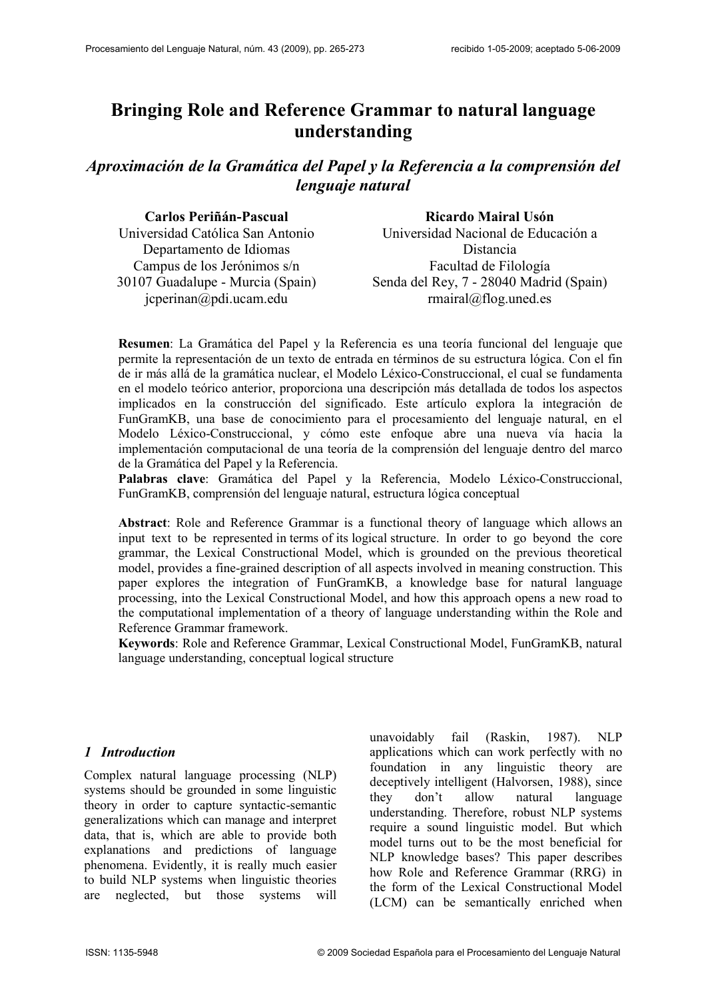# Bringing Role and Reference Grammar to natural language understanding

Aproximación de la Gramática del Papel y la Referencia a la comprensión del lenguaje natural

| Carlos Periñán-Pascual           | Ricardo Mairal Usón                     |
|----------------------------------|-----------------------------------------|
| Universidad Católica San Antonio | Universidad Nacional de Educación a     |
| Departamento de Idiomas          | Distancia                               |
| Campus de los Jerónimos s/n      | Facultad de Filología                   |
| 30107 Guadalupe - Murcia (Spain) | Senda del Rey, 7 - 28040 Madrid (Spain) |
| jcperinan@pdi.ucam.edu           | $rmaral@flog.$ uned.es                  |

Resumen: La Gramática del Papel y la Referencia es una teoría funcional del lenguaje que permite la representación de un texto de entrada en términos de su estructura lógica. Con el fin de ir más allá de la gramática nuclear, el Modelo Léxico-Construccional, el cual se fundamenta en el modelo teórico anterior, proporciona una descripción más detallada de todos los aspectos implicados en la construcción del significado. Este artículo explora la integración de FunGramKB, una base de conocimiento para el procesamiento del lenguaje natural, en el Modelo Léxico-Construccional, y cómo este enfoque abre una nueva vía hacia la implementación computacional de una teoría de la comprensión del lenguaje dentro del marco de la Gramática del Papel y la Referencia.

Palabras clave: Gramática del Papel y la Referencia, Modelo Léxico-Construccional, FunGramKB, comprensión del lenguaje natural, estructura lógica conceptual

Abstract: Role and Reference Grammar is a functional theory of language which allows an input text to be represented in terms of its logical structure. In order to go beyond the core grammar, the Lexical Constructional Model, which is grounded on the previous theoretical model, provides a fine-grained description of all aspects involved in meaning construction. This paper explores the integration of FunGramKB, a knowledge base for natural language processing, into the Lexical Constructional Model, and how this approach opens a new road to the computational implementation of a theory of language understanding within the Role and Reference Grammar framework.

Keywords: Role and Reference Grammar, Lexical Constructional Model, FunGramKB, natural language understanding, conceptual logical structure

#### 1 Introduction

Complex natural language processing (NLP) systems should be grounded in some linguistic theory in order to capture syntactic-semantic generalizations which can manage and interpret data, that is, which are able to provide both explanations and predictions of language phenomena. Evidently, it is really much easier to build NLP systems when linguistic theories are neglected, but those systems will

unavoidably fail (Raskin, 1987). NLP applications which can work perfectly with no foundation in any linguistic theory are deceptively intelligent (Halvorsen, 1988), since they don't allow natural language understanding. Therefore, robust NLP systems require a sound linguistic model. But which model turns out to be the most beneficial for NLP knowledge bases? This paper describes how Role and Reference Grammar (RRG) in the form of the Lexical Constructional Model (LCM) can be semantically enriched when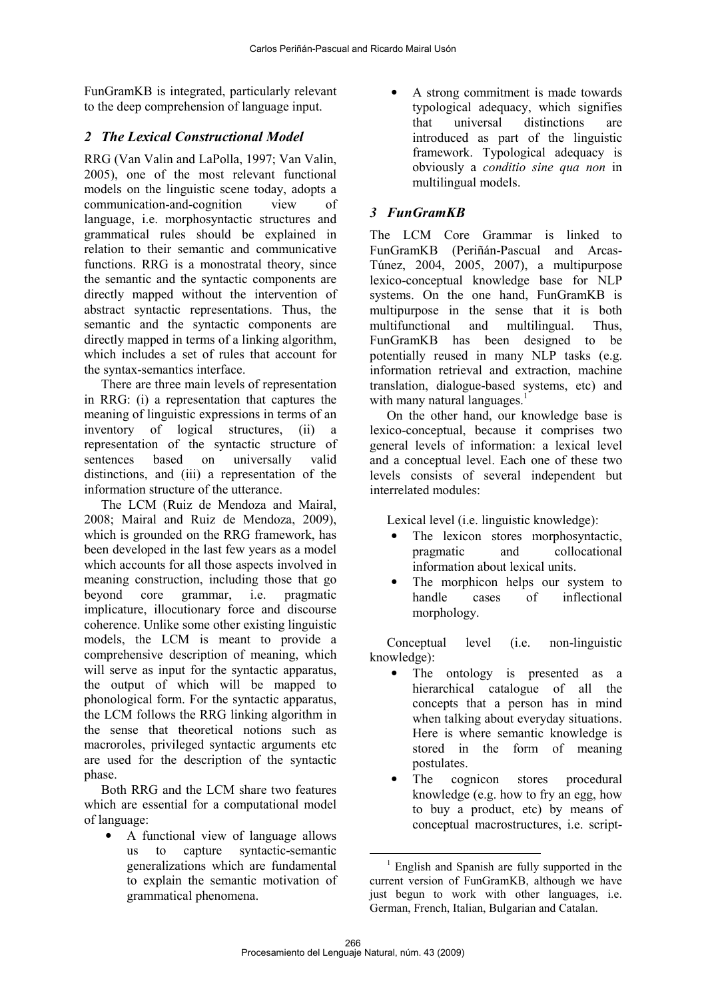FunGramKB is integrated, particularly relevant to the deep comprehension of language input.

# 2 The Lexical Constructional Model

RRG (Van Valin and LaPolla, 1997; Van Valin, 2005), one of the most relevant functional models on the linguistic scene today, adopts a communication-and-cognition view of language, i.e. morphosyntactic structures and grammatical rules should be explained in relation to their semantic and communicative functions. RRG is a monostratal theory, since the semantic and the syntactic components are directly mapped without the intervention of abstract syntactic representations. Thus, the semantic and the syntactic components are directly mapped in terms of a linking algorithm, which includes a set of rules that account for the syntax-semantics interface.

There are three main levels of representation in RRG: (i) a representation that captures the meaning of linguistic expressions in terms of an inventory of logical structures, (ii) a representation of the syntactic structure of sentences based on universally valid distinctions, and (iii) a representation of the information structure of the utterance.

The LCM (Ruiz de Mendoza and Mairal, 2008; Mairal and Ruiz de Mendoza, 2009), which is grounded on the RRG framework, has been developed in the last few years as a model which accounts for all those aspects involved in meaning construction, including those that go beyond core grammar, i.e. pragmatic implicature, illocutionary force and discourse coherence. Unlike some other existing linguistic models, the LCM is meant to provide a comprehensive description of meaning, which will serve as input for the syntactic apparatus. the output of which will be mapped to phonological form. For the syntactic apparatus, the LCM follows the RRG linking algorithm in the sense that theoretical notions such as macroroles, privileged syntactic arguments etc are used for the description of the syntactic phase.

Both RRG and the LCM share two features which are essential for a computational model of language:

• A functional view of language allows us to capture syntactic-semantic generalizations which are fundamental to explain the semantic motivation of grammatical phenomena.

• A strong commitment is made towards typological adequacy, which signifies that universal distinctions are introduced as part of the linguistic framework. Typological adequacy is obviously a *conditio sine qua non* in multilingual models.

# 3 FunGramKB

The LCM Core Grammar is linked to FunGramKB (Periñán-Pascual and Arcas-Túnez, 2004, 2005, 2007), a multipurpose lexico-conceptual knowledge base for NLP systems. On the one hand, FunGramKB is multipurpose in the sense that it is both multifunctional and multilingual. Thus, FunGramKB has been designed to be potentially reused in many NLP tasks (e.g. information retrieval and extraction, machine translation, dialogue-based systems, etc) and with many natural languages.<sup>1</sup>

On the other hand, our knowledge base is lexico-conceptual, because it comprises two general levels of information: a lexical level and a conceptual level. Each one of these two levels consists of several independent but interrelated modules:

Lexical level (i.e. linguistic knowledge):

- The lexicon stores morphosyntactic, pragmatic and collocational information about lexical units.
- The morphicon helps our system to handle cases of inflectional morphology.

Conceptual level (i.e. non-linguistic knowledge):

- The ontology is presented as a hierarchical catalogue of all the concepts that a person has in mind when talking about everyday situations. Here is where semantic knowledge is stored in the form of meaning postulates.
- The cognicon stores procedural knowledge (e.g. how to fry an egg, how to buy a product, etc) by means of conceptual macrostructures, i.e. script-

 $\overline{a}$  $<sup>1</sup>$  English and Spanish are fully supported in the</sup> current version of FunGramKB, although we have just begun to work with other languages, i.e. German, French, Italian, Bulgarian and Catalan.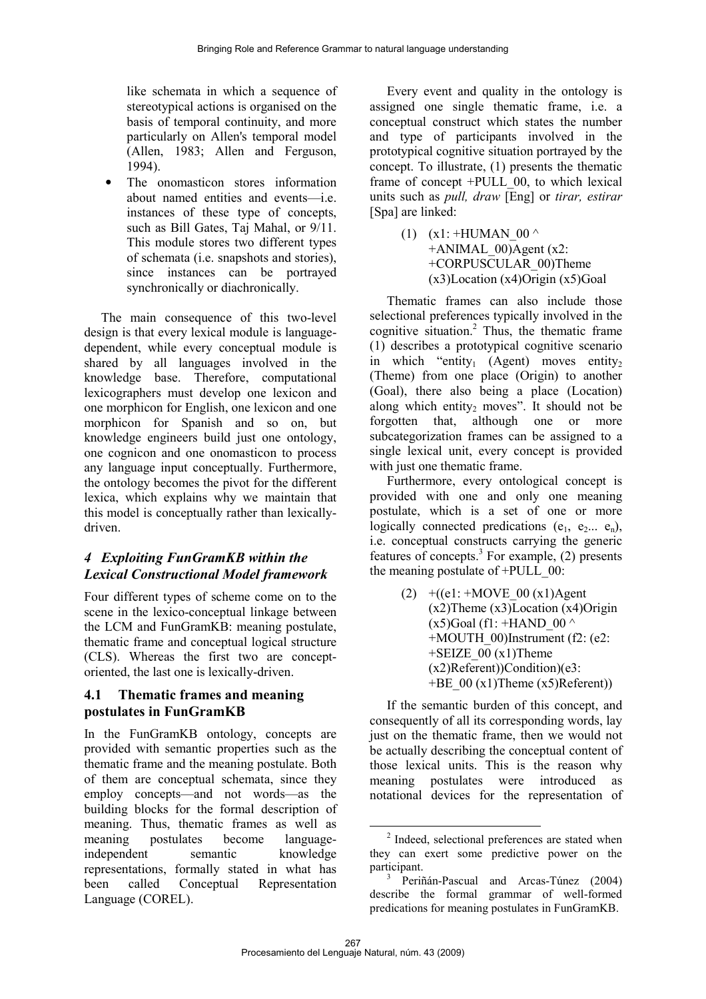like schemata in which a sequence of stereotypical actions is organised on the basis of temporal continuity, and more particularly on Allen's temporal model (Allen, 1983; Allen and Ferguson, 1994).

• The onomasticon stores information about named entities and events—i.e. instances of these type of concepts, such as Bill Gates, Taj Mahal, or 9/11. This module stores two different types of schemata (i.e. snapshots and stories), since instances can be portrayed synchronically or diachronically.

The main consequence of this two-level design is that every lexical module is languagedependent, while every conceptual module is shared by all languages involved in the knowledge base. Therefore, computational lexicographers must develop one lexicon and one morphicon for English, one lexicon and one morphicon for Spanish and so on, but knowledge engineers build just one ontology, one cognicon and one onomasticon to process any language input conceptually. Furthermore, the ontology becomes the pivot for the different lexica, which explains why we maintain that this model is conceptually rather than lexicallydriven.

#### 4 Exploiting FunGramKB within the Lexical Constructional Model framework

Four different types of scheme come on to the scene in the lexico-conceptual linkage between the LCM and FunGramKB: meaning postulate, thematic frame and conceptual logical structure (CLS). Whereas the first two are conceptoriented, the last one is lexically-driven.

#### 4.1 Thematic frames and meaning postulates in FunGramKB

In the FunGramKB ontology, concepts are provided with semantic properties such as the thematic frame and the meaning postulate. Both of them are conceptual schemata, since they employ concepts—and not words—as the building blocks for the formal description of meaning. Thus, thematic frames as well as meaning postulates become languageindependent semantic knowledge representations, formally stated in what has been called Conceptual Representation Language (COREL).

Every event and quality in the ontology is assigned one single thematic frame, i.e. a conceptual construct which states the number and type of participants involved in the prototypical cognitive situation portrayed by the concept. To illustrate, (1) presents the thematic frame of concept +PULL\_00, to which lexical units such as *pull, draw* [Eng] or *tirar, estirar* [Spa] are linked:

> (1)  $(x1: +HUMAN$  00 ^  $+A$ NIMAL 00)Agent (x2: +CORPUSCULAR\_00)Theme  $(x3)$ Location  $(x4)$ Origin  $(x5)$ Goal

Thematic frames can also include those selectional preferences typically involved in the cognitive situation. <sup>2</sup> Thus, the thematic frame (1) describes a prototypical cognitive scenario in which "entity<sub>1</sub> (Agent) moves entity<sub>2</sub> (Theme) from one place (Origin) to another (Goal), there also being a place (Location) along which entity<sub>2</sub> moves". It should not be forgotten that, although one or more subcategorization frames can be assigned to a single lexical unit, every concept is provided with just one thematic frame.

Furthermore, every ontological concept is provided with one and only one meaning postulate, which is a set of one or more logically connected predications  $(e_1, e_2, \ldots, e_n)$ , i.e. conceptual constructs carrying the generic features of concepts. 3 For example, (2) presents the meaning postulate of  $+PULL$  00:

> (2)  $+(e1: +Move 00 (x1)$ Agent (x2)Theme (x3)Location (x4)Origin  $(x5)$ Goal (f1: +HAND 00  $\wedge$ +MOUTH\_00)Instrument (f2: (e2:  $+SEIZE$  00 (x1)Theme (x2)Referent))Condition)(e3:  $+BE_{00} (x1)$ Theme  $(x5)$ Referent))

If the semantic burden of this concept, and consequently of all its corresponding words, lay just on the thematic frame, then we would not be actually describing the conceptual content of those lexical units. This is the reason why meaning postulates were introduced as notational devices for the representation of

 $\overline{a}$ <sup>2</sup> Indeed, selectional preferences are stated when they can exert some predictive power on the participant.

<sup>3</sup> Periñán-Pascual and Arcas-Túnez (2004) describe the formal grammar of well-formed predications for meaning postulates in FunGramKB.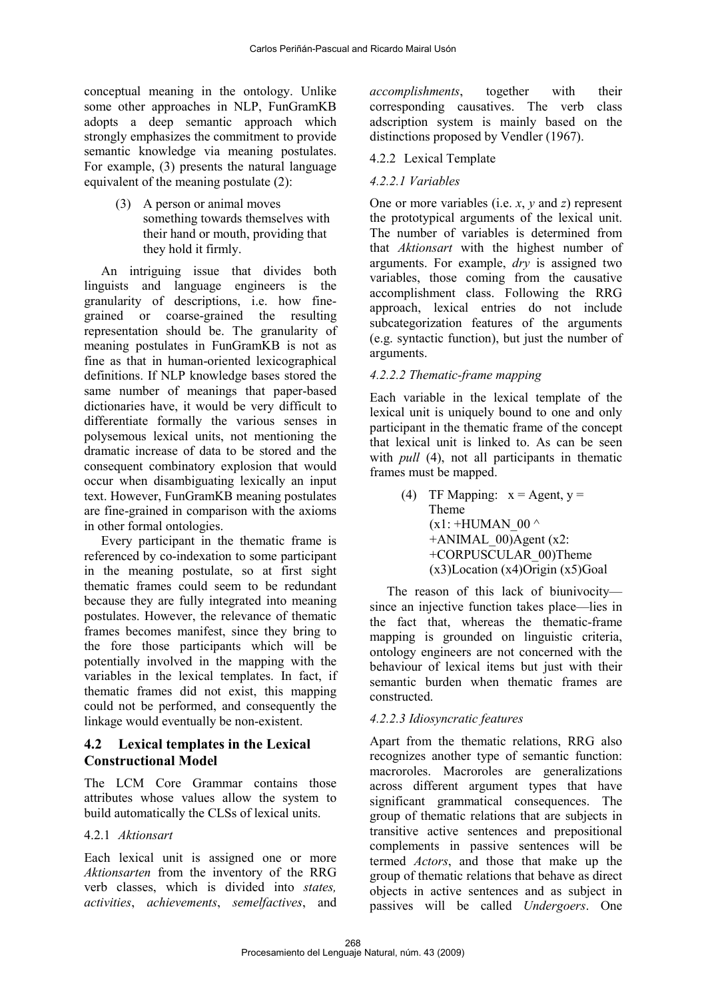conceptual meaning in the ontology. Unlike some other approaches in NLP, FunGramKB adopts a deep semantic approach which strongly emphasizes the commitment to provide semantic knowledge via meaning postulates. For example, (3) presents the natural language equivalent of the meaning postulate (2):

> (3) A person or animal moves something towards themselves with their hand or mouth, providing that they hold it firmly.

An intriguing issue that divides both linguists and language engineers is the granularity of descriptions, i.e. how finegrained or coarse-grained the resulting representation should be. The granularity of meaning postulates in FunGramKB is not as fine as that in human-oriented lexicographical definitions. If NLP knowledge bases stored the same number of meanings that paper-based dictionaries have, it would be very difficult to differentiate formally the various senses in polysemous lexical units, not mentioning the dramatic increase of data to be stored and the consequent combinatory explosion that would occur when disambiguating lexically an input text. However, FunGramKB meaning postulates are fine-grained in comparison with the axioms in other formal ontologies.

Every participant in the thematic frame is referenced by co-indexation to some participant in the meaning postulate, so at first sight thematic frames could seem to be redundant because they are fully integrated into meaning postulates. However, the relevance of thematic frames becomes manifest, since they bring to the fore those participants which will be potentially involved in the mapping with the variables in the lexical templates. In fact, if thematic frames did not exist, this mapping could not be performed, and consequently the linkage would eventually be non-existent.

#### 4.2 Lexical templates in the Lexical Constructional Model

The LCM Core Grammar contains those attributes whose values allow the system to build automatically the CLSs of lexical units.

#### 4.2.1 *Aktionsart*

Each lexical unit is assigned one or more *Aktionsarten* from the inventory of the RRG verb classes, which is divided into *states, activities*, *achievements*, *semelfactives*, and

*accomplishments*, together with their corresponding causatives. The verb class adscription system is mainly based on the distinctions proposed by Vendler (1967).

#### 4.2.2 Lexical Template

#### *4.2.2.1 Variables*

One or more variables (i.e. *x*, *y* and *z*) represent the prototypical arguments of the lexical unit. The number of variables is determined from that *Aktionsart* with the highest number of arguments. For example, *dry* is assigned two variables, those coming from the causative accomplishment class. Following the RRG approach, lexical entries do not include subcategorization features of the arguments (e.g. syntactic function), but just the number of arguments.

#### *4.2.2.2 Thematic-frame mapping*

Each variable in the lexical template of the lexical unit is uniquely bound to one and only participant in the thematic frame of the concept that lexical unit is linked to. As can be seen with *pull* (4), not all participants in thematic frames must be mapped.

> (4) TF Mapping:  $x =$  Agent,  $y =$ Theme  $(x1: +HUMAN$  00  $^{\wedge}$  $+A$ NIMAL 00)Agent (x2: +CORPUSCULAR\_00)Theme  $(x3)$ Location  $(x4)$ Origin  $(x5)$ Goal

The reason of this lack of biunivocity since an injective function takes place—lies in the fact that, whereas the thematic-frame mapping is grounded on linguistic criteria, ontology engineers are not concerned with the behaviour of lexical items but just with their semantic burden when thematic frames are constructed.

#### *4.2.2.3 Idiosyncratic features*

Apart from the thematic relations, RRG also recognizes another type of semantic function: macroroles. Macroroles are generalizations across different argument types that have significant grammatical consequences. The group of thematic relations that are subjects in transitive active sentences and prepositional complements in passive sentences will be termed *Actors*, and those that make up the group of thematic relations that behave as direct objects in active sentences and as subject in passives will be called *Undergoers*. One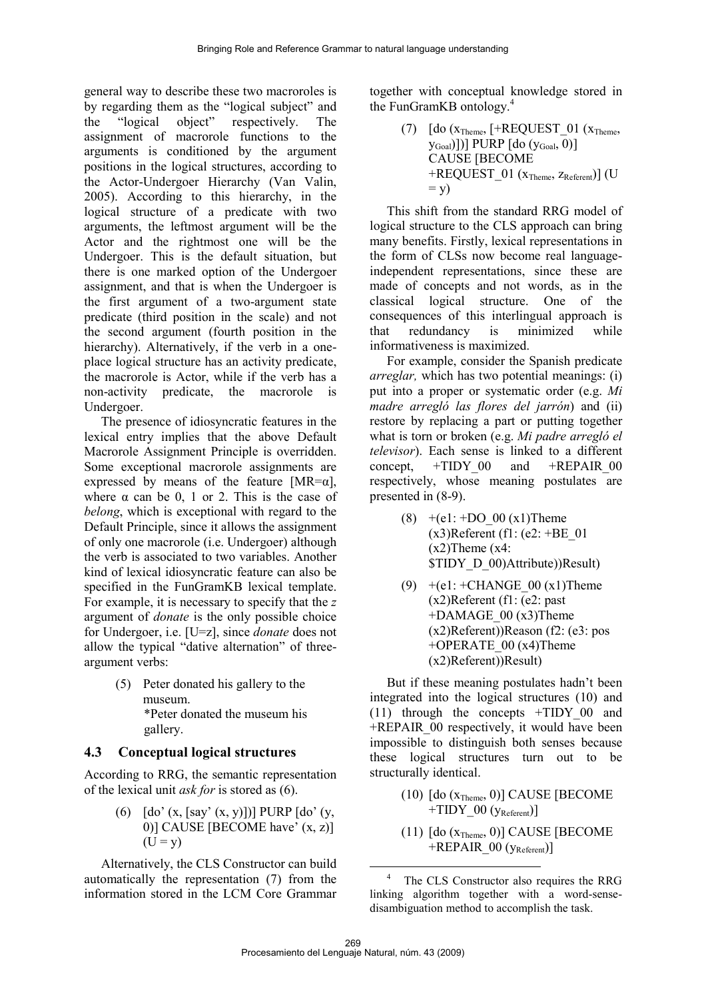general way to describe these two macroroles is by regarding them as the "logical subject" and the "logical object" respectively. The assignment of macrorole functions to the arguments is conditioned by the argument positions in the logical structures, according to the Actor-Undergoer Hierarchy (Van Valin, 2005). According to this hierarchy, in the logical structure of a predicate with two arguments, the leftmost argument will be the Actor and the rightmost one will be the Undergoer. This is the default situation, but there is one marked option of the Undergoer assignment, and that is when the Undergoer is the first argument of a two-argument state predicate (third position in the scale) and not the second argument (fourth position in the hierarchy). Alternatively, if the verb in a oneplace logical structure has an activity predicate, the macrorole is Actor, while if the verb has a non-activity predicate, the macrorole is Undergoer.

The presence of idiosyncratic features in the lexical entry implies that the above Default Macrorole Assignment Principle is overridden. Some exceptional macrorole assignments are expressed by means of the feature  $[MR=\alpha]$ , where  $\alpha$  can be 0, 1 or 2. This is the case of *belong*, which is exceptional with regard to the Default Principle, since it allows the assignment of only one macrorole (i.e. Undergoer) although the verb is associated to two variables. Another kind of lexical idiosyncratic feature can also be specified in the FunGramKB lexical template. For example, it is necessary to specify that the *z* argument of *donate* is the only possible choice for Undergoer, i.e. [U=z], since *donate* does not allow the typical "dative alternation" of threeargument verbs:

> (5) Peter donated his gallery to the museum. \*Peter donated the museum his gallery.

#### 4.3 Conceptual logical structures

According to RRG, the semantic representation of the lexical unit *ask for* is stored as (6).

> (6)  $\int$   $\int$  do' (x,  $\int$  say' (x, y)])] PURP  $\int$  do' (y, 0)] CAUSE [BECOME have'  $(x, z)$ ]  $(U = v)$

Alternatively, the CLS Constructor can build automatically the representation (7) from the information stored in the LCM Core Grammar together with conceptual knowledge stored in the FunGramKB ontology. 4

> (7)  $[do (x_{Theme}, [+REQUEST_01 (x_{Theme},$ yGoal)])] PURP [do (yGoal , 0)] CAUSE [BECOME  $+$ REQUEST\_01 ( $x$ <sub>Theme</sub>,  $z$ <sub>Referent</sub>)] (U  $=$  y)

This shift from the standard RRG model of logical structure to the CLS approach can bring many benefits. Firstly, lexical representations in the form of CLSs now become real languageindependent representations, since these are made of concepts and not words, as in the classical logical structure. One of the consequences of this interlingual approach is that redundancy is minimized while informativeness is maximized.

For example, consider the Spanish predicate *arreglar,* which has two potential meanings: (i) put into a proper or systematic order (e.g. *Mi madre arregló las flores del jarrón*) and (ii) restore by replacing a part or putting together what is torn or broken (e.g. *Mi padre arregló el televisor*). Each sense is linked to a different concept.  $+TIDY$  00 and  $+REPAIR$  00 respectively, whose meaning postulates are presented in (8-9).

- (8)  $+(e1: +DO_0(x1))$ Theme  $(x3)$ Referent (f1: (e2: +BE\_01)  $(x2)$ Theme  $(x4)$ : \$TIDY\_D\_00)Attribute))Result)
- (9)  $+(e1: +CHANGE_00 (x1)$ Theme (x2)Referent (f1: (e2: past +DAMAGE\_00 (x3)Theme (x2)Referent))Reason (f2: (e3: pos +OPERATE\_00 (x4)Theme (x2)Referent))Result)

But if these meaning postulates hadn't been integrated into the logical structures (10) and (11) through the concepts +TIDY\_00 and +REPAIR\_00 respectively, it would have been impossible to distinguish both senses because these logical structures turn out to be structurally identical.

- $(10)$  [do  $(x_{Theme}, 0)$ ] CAUSE [BECOME +TIDY  $00$  (y<sub>Referent</sub>)]
- $(11)$  [do  $(x_{Theme}, 0)$ ] CAUSE [BECOME  $+REPAIR$  00 ( $y_{Referent}$ )]

 $\overline{a}$ <sup>4</sup> The CLS Constructor also requires the RRG linking algorithm together with a word-sensedisambiguation method to accomplish the task.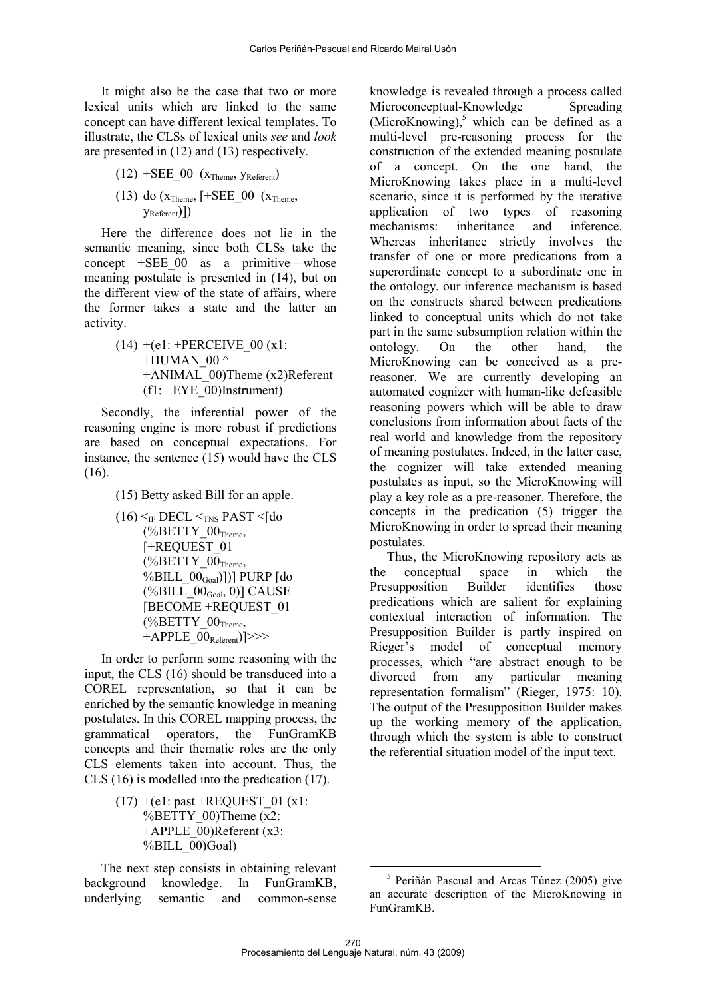It might also be the case that two or more lexical units which are linked to the same concept can have different lexical templates. To illustrate, the CLSs of lexical units *see* and *look* are presented in (12) and (13) respectively.

- $(12)$  +SEE\_00  $(x_{Theme}, y_{Referent})$
- (13) do  $(x_{Theme}, [+SEE_00 (x_{Theme},$ yReferent)])

Here the difference does not lie in the semantic meaning, since both CLSs take the concept  $+$ SEE 00 as a primitive—whose meaning postulate is presented in (14), but on the different view of the state of affairs, where the former takes a state and the latter an activity.

> $(14) + (e1) + PERCEIVE 00 (x1)$ +HUMAN $\,$  00  $^{\wedge}$ +ANIMAL\_00)Theme (x2)Referent  $(f1: +EYE_00)$ Instrument)

Secondly, the inferential power of the reasoning engine is more robust if predictions are based on conceptual expectations. For instance, the sentence (15) would have the CLS (16).

(15) Betty asked Bill for an apple.

 $(16)$   $\leq$ <sub>IF</sub> DECL  $\leq$ <sub>INS</sub> PAST  $\leq$ [do  $(\%BETTY_00_{Theme},$ [+REQUEST\_01  $(*6BETTY_00<sub>Theme</sub>,$ %BILL\_00Goal)])] PURP [do  $(\% \text{BILL\_00}_{\text{Goal}}, 0)]$  CAUSE [BECOME +REQUEST\_01  $(*6BETTY_00<sub>Theme</sub>,$ +APPLE  $00_{\text{Referent}}$ )]>>>

In order to perform some reasoning with the input, the CLS (16) should be transduced into a COREL representation, so that it can be enriched by the semantic knowledge in meaning postulates. In this COREL mapping process, the grammatical operators, the FunGramKB concepts and their thematic roles are the only CLS elements taken into account. Thus, the CLS (16) is modelled into the predication (17).

> $(17)$  +(e1: past +REQUEST 01 (x1: %BETTY  $00$ )Theme  $(x2)$ :  $+$ APPLE 00)Referent (x3:  $%BILL$  00)Goal)

The next step consists in obtaining relevant background knowledge. In FunGramKB, underlying semantic and common-sense knowledge is revealed through a process called Microconceptual-Knowledge Spreading (MicroKnowing),<sup>5</sup> which can be defined as a multi-level pre-reasoning process for the construction of the extended meaning postulate of a concept. On the one hand, the MicroKnowing takes place in a multi-level scenario, since it is performed by the iterative application of two types of reasoning mechanisms: inheritance and inference. Whereas inheritance strictly involves the transfer of one or more predications from a superordinate concept to a subordinate one in the ontology, our inference mechanism is based on the constructs shared between predications linked to conceptual units which do not take part in the same subsumption relation within the ontology. On the other hand, the MicroKnowing can be conceived as a prereasoner. We are currently developing an automated cognizer with human-like defeasible reasoning powers which will be able to draw conclusions from information about facts of the real world and knowledge from the repository of meaning postulates. Indeed, in the latter case, the cognizer will take extended meaning postulates as input, so the MicroKnowing will play a key role as a pre-reasoner. Therefore, the concepts in the predication (5) trigger the MicroKnowing in order to spread their meaning postulates.

Thus, the MicroKnowing repository acts as the conceptual space in which the Presupposition Builder identifies those predications which are salient for explaining contextual interaction of information. The Presupposition Builder is partly inspired on Rieger's model of conceptual memory processes, which "are abstract enough to be divorced from any particular meaning representation formalism" (Rieger, 1975: 10). The output of the Presupposition Builder makes up the working memory of the application, through which the system is able to construct the referential situation model of the input text.

 $\overline{a}$ 

<sup>5</sup> Periñán Pascual and Arcas Túnez (2005) give an accurate description of the MicroKnowing in FunGramKB.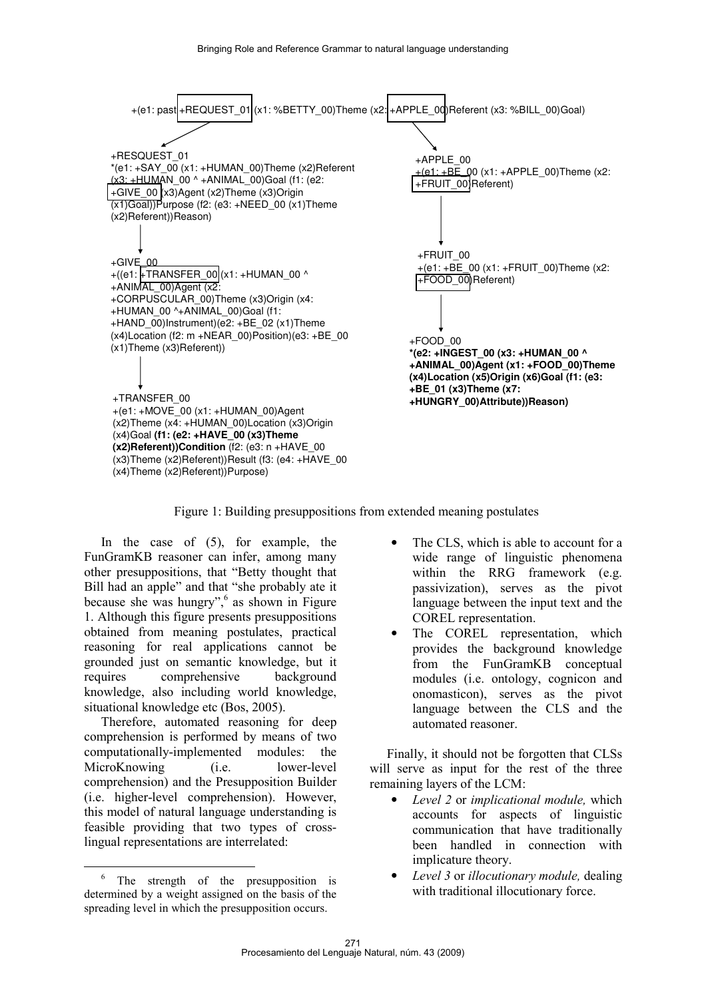

Figure 1: Building presuppositions from extended meaning postulates

In the case of (5), for example, the FunGramKB reasoner can infer, among many other presuppositions, that "Betty thought that Bill had an apple" and that "she probably ate it because she was hungry", 6 as shown in Figure 1. Although this figure presents presuppositions obtained from meaning postulates, practical reasoning for real applications cannot be grounded just on semantic knowledge, but it requires comprehensive background knowledge, also including world knowledge, situational knowledge etc (Bos, 2005).

Therefore, automated reasoning for deep comprehension is performed by means of two computationally-implemented modules: the MicroKnowing (i.e. lower-level comprehension) and the Presupposition Builder (i.e. higher-level comprehension). However, this model of natural language understanding is feasible providing that two types of crosslingual representations are interrelated:

 $\overline{a}$ 

- The CLS, which is able to account for a wide range of linguistic phenomena within the RRG framework (e.g. passivization), serves as the pivot language between the input text and the COREL representation.
- The COREL representation, which provides the background knowledge from the FunGramKB conceptual modules (i.e. ontology, cognicon and onomasticon), serves as the pivot language between the CLS and the automated reasoner.

Finally, it should not be forgotten that CLSs will serve as input for the rest of the three remaining layers of the LCM:

- *Level 2* or *implicational module,* which accounts for aspects of linguistic communication that have traditionally been handled in connection with implicature theory.
- *Level 3* or *illocutionary module,* dealing with traditional illocutionary force.

<sup>&</sup>lt;sup>6</sup> The strength of the presupposition is determined by a weight assigned on the basis of the spreading level in which the presupposition occurs.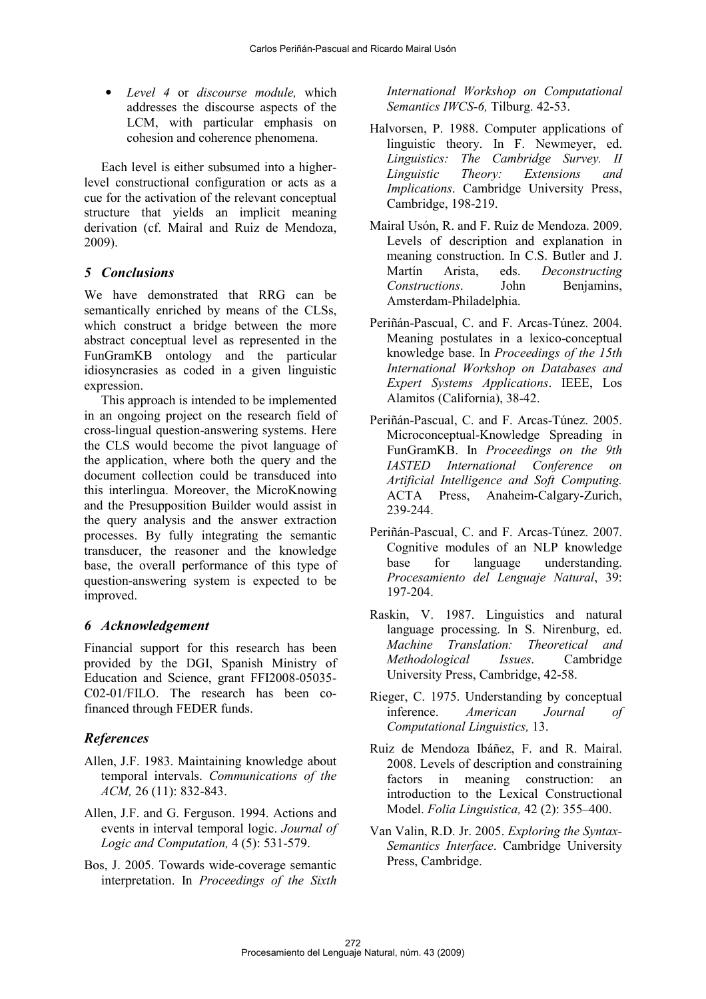• *Level 4* or *discourse module,* which addresses the discourse aspects of the LCM, with particular emphasis on cohesion and coherence phenomena.

Each level is either subsumed into a higherlevel constructional configuration or acts as a cue for the activation of the relevant conceptual structure that yields an implicit meaning derivation (cf. Mairal and Ruiz de Mendoza, 2009).

#### 5 Conclusions

We have demonstrated that RRG can be semantically enriched by means of the CLSs, which construct a bridge between the more abstract conceptual level as represented in the FunGramKB ontology and the particular idiosyncrasies as coded in a given linguistic expression.

This approach is intended to be implemented in an ongoing project on the research field of cross-lingual question-answering systems. Here the CLS would become the pivot language of the application, where both the query and the document collection could be transduced into this interlingua. Moreover, the MicroKnowing and the Presupposition Builder would assist in the query analysis and the answer extraction processes. By fully integrating the semantic transducer, the reasoner and the knowledge base, the overall performance of this type of question-answering system is expected to be improved.

## 6 Acknowledgement

Financial support for this research has been provided by the DGI, Spanish Ministry of Education and Science, grant FFI2008-05035- C02-01/FILO. The research has been cofinanced through FEDER funds.

## References

- Allen, J.F. 1983. Maintaining knowledge about temporal intervals. *Communications of the ACM,* 26 (11): 832-843.
- Allen, J.F. and G. Ferguson. 1994. Actions and events in interval temporal logic. *Journal of Logic and Computation,* 4 (5): 531-579.
- Bos, J. 2005. Towards wide-coverage semantic interpretation. In *Proceedings of the Sixth*

*International Workshop on Computational Semantics IWCS-6,* Tilburg. 42-53.

- Halvorsen, P. 1988. Computer applications of linguistic theory. In F. Newmeyer, ed. *Linguistics: The Cambridge Survey. II Linguistic Theory: Extensions and Implications*. Cambridge University Press, Cambridge, 198-219.
- Mairal Usón, R. and F. Ruiz de Mendoza. 2009. Levels of description and explanation in meaning construction. In C.S. Butler and J. Martín Arista, eds. *Deconstructing Constructions*. John Benjamins, Amsterdam-Philadelphia.
- Periñán-Pascual, C. and F. Arcas-Túnez. 2004. Meaning postulates in a lexico-conceptual knowledge base. In *Proceedings of the 15th International Workshop on Databases and Expert Systems Applications*. IEEE, Los Alamitos (California), 38-42.
- Periñán-Pascual, C. and F. Arcas-Túnez. 2005. Microconceptual-Knowledge Spreading in FunGramKB. In *Proceedings on the 9th IASTED International Conference on Artificial Intelligence and Soft Computing.* ACTA Press, Anaheim-Calgary-Zurich, 239-244.
- Periñán-Pascual, C. and F. Arcas-Túnez. 2007. Cognitive modules of an NLP knowledge base for language understanding. *Procesamiento del Lenguaje Natural*, 39: 197-204.
- Raskin, V. 1987. Linguistics and natural language processing. In S. Nirenburg, ed. *Machine Translation: Theoretical and Methodological Issues*. Cambridge University Press, Cambridge, 42-58.
- Rieger, C. 1975. Understanding by conceptual inference. *American Journal of Computational Linguistics,* 13.
- Ruiz de Mendoza Ibáñez, F. and R. Mairal. 2008. Levels of description and constraining factors in meaning construction: an introduction to the Lexical Constructional Model. *Folia Linguistica,* 42 (2): 355–400.
- Van Valin, R.D. Jr. 2005. *Exploring the Syntax-Semantics Interface*. Cambridge University Press, Cambridge.